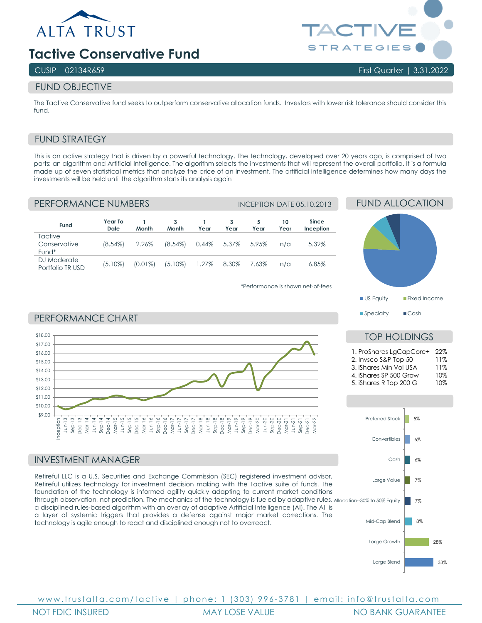

# **Tactive Conservative Fund**

## FUND OBJECTIVE

The Tactive Conservative fund seeks to outperform conservative allocation funds. Investors with lower risk tolerance should consider this fund.

# FUND STRATEGY

This is an active strategy that is driven by a powerful technology. The technology, developed over 20 years ago, is comprised of two parts: an algorithm and Artificial Intelligence. The algorithm selects the investments that will represent the overall portfolio. It is a formula made up of seven statistical metrics that analyze the price of an investment. The artificial intelligence determines how many days the investments will be held until the algorithm starts its analysis again

\*Performance is shown net-of-fees

| PERFORMANCE NUMBERS              |                        |            |            |       |           | <b>INCEPTION DATE 05.10.2013</b> |            |                    |  |
|----------------------------------|------------------------|------------|------------|-------|-----------|----------------------------------|------------|--------------------|--|
| Fund                             | Year To<br><b>Date</b> | Month      | 3<br>Month | Year  | 3<br>Year | 5<br>Year                        | 10<br>Year | Since<br>Inception |  |
| Tactive<br>Conservative<br>Fund* | $(8.54\%)$             | 2.26%      | $(8.54\%)$ | 0.44% | 5.37%     | 5.95%                            | n/a        | 5.32%              |  |
| DJ Moderate<br>Portfolio TR USD  | $(5.10\%)$             | $(0.01\%)$ | $(5.10\%)$ | 1.27% | 8.30%     | 7.63%                            | n/a        | 6.85%              |  |



TOP HOLDINGS 1. ProShares LgCapCore+ 22% 2. Invsco S&P Top 50 11%<br>3. iShares Min Vol USA 11% 3. iShares Min Vol USA

4. iShares SP 500 Grow 10%<br>5. iShares R Top 200 G 10% 5. iShares R Top 200 G

#### PERFORMANCE CHART



#### INVESTMENT MANAGER

through observation, not prediction. The mechanics of the technology is fueled by adaptive rules, <sub>Allocation--30% to 50% Equity</sub> Retireful LLC is a U.S. Securities and Exchange Commission (SEC) registered investment advisor. Retireful utilizes technology for investment decision making with the Tactive suite of funds. The foundation of the technology is informed agility quickly adapting to current market conditions a disciplined rules-based algorithm with an overlay of adaptive Artificial Intelligence (AI). The AI is a layer of systemic triggers that provides a defense against major market corrections. The technology is agile enough to react and disciplined enough not to overreact.



www.trustalta.com/ tactive | phone: 1 ( 303 ) 9 9 6 - 378 1 | email: info@trustalta.com NOT FDIC INSURED MAY LOSE VALUE NO BANK GUARANTEE



### CUSIP 02134R659 First Quarter | 3.31.2022